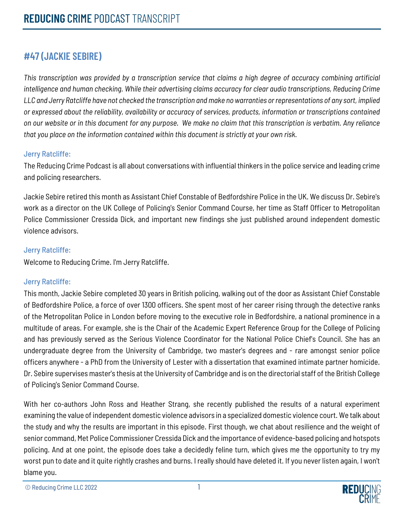## **#47 (JACKIE SEBIRE)**

*This transcription was provided by a transcription service that claims a high degree of accuracy combining artificial intelligence and human checking. While their advertising claims accuracy for clear audio transcriptions, Reducing Crime LLC and Jerry Ratcliffe have not checked the transcription and make no warranties or representations of any sort, implied or expressed about the reliability, availability or accuracy of services, products, information or transcriptions contained on our website or in this document for any purpose. We make no claim that this transcription is verbatim. Any reliance that you place on the information contained within this document is strictly at your own risk.*

#### Jerry Ratcliffe:

The Reducing Crime Podcast is all about conversations with influential thinkers in the police service and leading crime and policing researchers.

Jackie Sebire retired this month as Assistant Chief Constable of Bedfordshire Police in the UK. We discuss Dr. Sebire's work as a director on the UK College of Policing's Senior Command Course, her time as Staff Officer to Metropolitan Police Commissioner Cressida Dick, and important new findings she just published around independent domestic violence advisors.

## Jerry Ratcliffe:

Welcome to Reducing Crime. I'm Jerry Ratcliffe.

## Jerry Ratcliffe:

This month, Jackie Sebire completed 30 years in British policing, walking out of the door as Assistant Chief Constable of Bedfordshire Police, a force of over 1300 officers. She spent most of her career rising through the detective ranks of the Metropolitan Police in London before moving to the executive role in Bedfordshire, a national prominence in a multitude of areas. For example, she is the Chair of the Academic Expert Reference Group for the College of Policing and has previously served as the Serious Violence Coordinator for the National Police Chief's Council. She has an undergraduate degree from the University of Cambridge, two master's degrees and - rare amongst senior police officers anywhere - a PhD from the University of Lester with a dissertation that examined intimate partner homicide. Dr. Sebire supervises master's thesis at the University of Cambridge and is on the directorial staff of the British College of Policing's Senior Command Course.

With her co-authors John Ross and Heather Strang, she recently published the results of a natural experiment examining the value of independent domestic violence advisors in a specialized domestic violence court. We talk about the study and why the results are important in this episode. First though, we chat about resilience and the weight of senior command, Met Police Commissioner Cressida Dick and the importance of evidence-based policing and hotspots policing. And at one point, the episode does take a decidedly feline turn, which gives me the opportunity to try my worst pun to date and it quite rightly crashes and burns. I really should have deleted it. If you never listen again, I won't blame you.

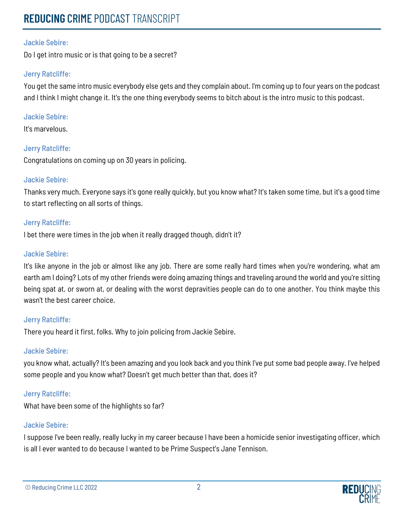## **REDUCING** CRIME PODCAST TRANSCRIPT

#### Jackie Sebire:

Do I get intro music or is that going to be a secret?

#### Jerry Ratcliffe:

You get the same intro music everybody else gets and they complain about. I'm coming up to four years on the podcast and I think I might change it. It's the one thing everybody seems to bitch about is the intro music to this podcast.

#### Jackie Sebire:

It's marvelous.

## Jerry Ratcliffe:

Congratulations on coming up on 30 years in policing.

#### Jackie Sebire:

Thanks very much. Everyone says it's gone really quickly, but you know what? It's taken some time, but it's a good time to start reflecting on all sorts of things.

#### Jerry Ratcliffe:

I bet there were times in the job when it really dragged though, didn't it?

#### Jackie Sebire:

It's like anyone in the job or almost like any job. There are some really hard times when you're wondering, what am earth am I doing? Lots of my other friends were doing amazing things and traveling around the world and you're sitting being spat at, or sworn at, or dealing with the worst depravities people can do to one another. You think maybe this wasn't the best career choice.

#### Jerry Ratcliffe:

There you heard it first, folks. Why to join policing from Jackie Sebire.

## Jackie Sebire:

you know what, actually? It's been amazing and you look back and you think I've put some bad people away. I've helped some people and you know what? Doesn't get much better than that, does it?

## Jerry Ratcliffe:

What have been some of the highlights so far?

#### Jackie Sebire:

I suppose I've been really, really lucky in my career because I have been a homicide senior investigating officer, which is all I ever wanted to do because I wanted to be Prime Suspect's Jane Tennison.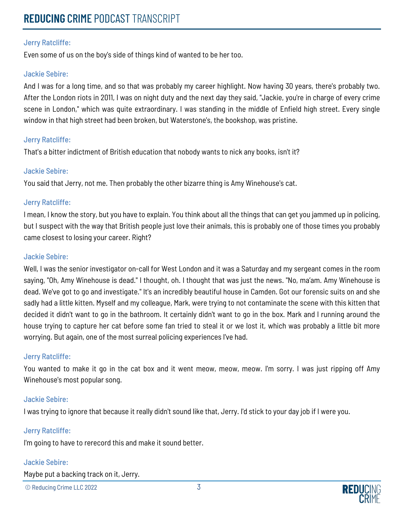Even some of us on the boy's side of things kind of wanted to be her too.

#### Jackie Sebire:

And I was for a long time, and so that was probably my career highlight. Now having 30 years, there's probably two. After the London riots in 2011, I was on night duty and the next day they said, "Jackie, you're in charge of every crime scene in London," which was quite extraordinary. I was standing in the middle of Enfield high street. Every single window in that high street had been broken, but Waterstone's, the bookshop, was pristine.

#### Jerry Ratcliffe:

That's a bitter indictment of British education that nobody wants to nick any books, isn't it?

#### Jackie Sebire:

You said that Jerry, not me. Then probably the other bizarre thing is Amy Winehouse's cat.

#### Jerry Ratcliffe:

I mean, I know the story, but you have to explain. You think about all the things that can get you jammed up in policing, but I suspect with the way that British people just love their animals, this is probably one of those times you probably came closest to losing your career. Right?

#### Jackie Sebire:

Well, I was the senior investigator on-call for West London and it was a Saturday and my sergeant comes in the room saying, "Oh, Amy Winehouse is dead." I thought, oh. I thought that was just the news. "No, ma'am. Amy Winehouse is dead. We've got to go and investigate." It's an incredibly beautiful house in Camden. Got our forensic suits on and she sadly had a little kitten. Myself and my colleague, Mark, were trying to not contaminate the scene with this kitten that decided it didn't want to go in the bathroom. It certainly didn't want to go in the box. Mark and I running around the house trying to capture her cat before some fan tried to steal it or we lost it, which was probably a little bit more worrying. But again, one of the most surreal policing experiences I've had.

#### Jerry Ratcliffe:

You wanted to make it go in the cat box and it went meow, meow, meow. I'm sorry. I was just ripping off Amy Winehouse's most popular song.

#### Jackie Sebire:

I was trying to ignore that because it really didn't sound like that, Jerry. I'd stick to your day job if I were you.

#### Jerry Ratcliffe:

I'm going to have to rerecord this and make it sound better.

#### Jackie Sebire:

Maybe put a backing track on it, Jerry.

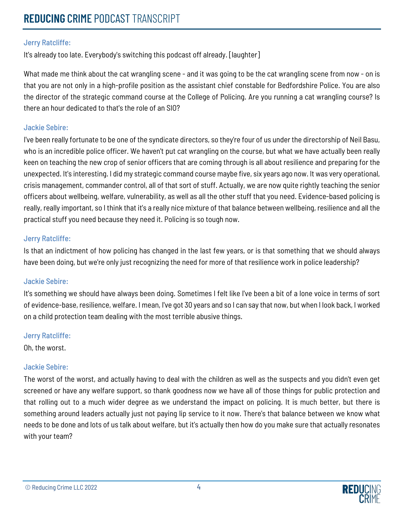It's already too late. Everybody's switching this podcast off already. [laughter]

What made me think about the cat wrangling scene - and it was going to be the cat wrangling scene from now - on is that you are not only in a high-profile position as the assistant chief constable for Bedfordshire Police. You are also the director of the strategic command course at the College of Policing. Are you running a cat wrangling course? Is there an hour dedicated to that's the role of an SIO?

#### Jackie Sebire:

I've been really fortunate to be one of the syndicate directors, so they're four of us under the directorship of Neil Basu, who is an incredible police officer. We haven't put cat wrangling on the course, but what we have actually been really keen on teaching the new crop of senior officers that are coming through is all about resilience and preparing for the unexpected. It's interesting. I did my strategic command course maybe five, six years ago now. It was very operational, crisis management, commander control, all of that sort of stuff. Actually, we are now quite rightly teaching the senior officers about wellbeing, welfare, vulnerability, as well as all the other stuff that you need. Evidence-based policing is really, really important, so I think that it's a really nice mixture of that balance between wellbeing, resilience and all the practical stuff you need because they need it. Policing is so tough now.

#### Jerry Ratcliffe:

Is that an indictment of how policing has changed in the last few years, or is that something that we should always have been doing, but we're only just recognizing the need for more of that resilience work in police leadership?

#### Jackie Sebire:

It's something we should have always been doing. Sometimes I felt like I've been a bit of a lone voice in terms of sort of evidence-base, resilience, welfare. I mean, I've got 30 years and so I can say that now, but when I look back, I worked on a child protection team dealing with the most terrible abusive things.

#### Jerry Ratcliffe:

Oh, the worst.

#### Jackie Sebire:

The worst of the worst, and actually having to deal with the children as well as the suspects and you didn't even get screened or have any welfare support, so thank goodness now we have all of those things for public protection and that rolling out to a much wider degree as we understand the impact on policing. It is much better, but there is something around leaders actually just not paying lip service to it now. There's that balance between we know what needs to be done and lots of us talk about welfare, but it's actually then how do you make sure that actually resonates with your team?



<sup>©</sup> Reducing Crime LLC 2022 4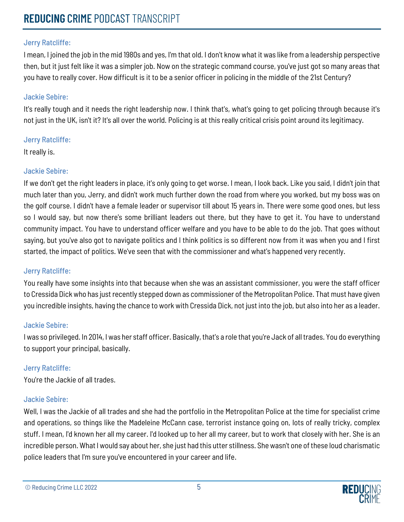I mean, I joined the job in the mid 1980s and yes, I'm that old. I don't know what it was like from a leadership perspective then, but it just felt like it was a simpler job. Now on the strategic command course, you've just got so many areas that you have to really cover. How difficult is it to be a senior officer in policing in the middle of the 21st Century?

#### Jackie Sebire:

It's really tough and it needs the right leadership now. I think that's, what's going to get policing through because it's not just in the UK, isn't it? It's all over the world. Policing is at this really critical crisis point around its legitimacy.

#### Jerry Ratcliffe:

It really is.

## Jackie Sebire:

If we don't get the right leaders in place, it's only going to get worse. I mean, I look back. Like you said, I didn't join that much later than you, Jerry, and didn't work much further down the road from where you worked, but my boss was on the golf course. I didn't have a female leader or supervisor till about 15 years in. There were some good ones, but less so I would say, but now there's some brilliant leaders out there, but they have to get it. You have to understand community impact. You have to understand officer welfare and you have to be able to do the job. That goes without saying, but you've also got to navigate politics and I think politics is so different now from it was when you and I first started, the impact of politics. We've seen that with the commissioner and what's happened very recently.

## Jerry Ratcliffe:

You really have some insights into that because when she was an assistant commissioner, you were the staff officer to Cressida Dick who has just recently stepped down as commissioner of the Metropolitan Police. That must have given you incredible insights, having the chance to work with Cressida Dick, not just into the job, but also into her as a leader.

## Jackie Sebire:

I was so privileged. In 2014, I was her staff officer. Basically, that's a role that you're Jack of all trades. You do everything to support your principal, basically.

## Jerry Ratcliffe:

You're the Jackie of all trades.

## Jackie Sebire:

Well, I was the Jackie of all trades and she had the portfolio in the Metropolitan Police at the time for specialist crime and operations, so things like the Madeleine McCann case, terrorist instance going on, lots of really tricky, complex stuff. I mean, I'd known her all my career. I'd looked up to her all my career, but to work that closely with her. She is an incredible person. What I would say about her, she just had this utter stillness. She wasn't one of these loud charismatic police leaders that I'm sure you've encountered in your career and life.

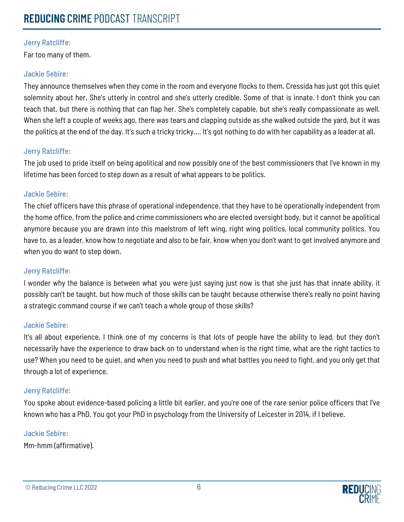Far too many of them.

#### Jackie Sebire:

They announce themselves when they come in the room and everyone flocks to them. Cressida has just got this quiet solemnity about her. She's utterly in control and she's utterly credible. Some of that is innate. I don't think you can teach that, but there is nothing that can flap her. She's completely capable, but she's really compassionate as well. When she left a couple of weeks ago, there was tears and clapping outside as she walked outside the yard, but it was the politics at the end of the day. It's such a tricky tricky.... It's got nothing to do with her capability as a leader at all.

#### Jerry Ratcliffe:

The job used to pride itself on being apolitical and now possibly one of the best commissioners that I've known in my lifetime has been forced to step down as a result of what appears to be politics.

#### Jackie Sebire:

The chief officers have this phrase of operational independence, that they have to be operationally independent from the home office, from the police and crime commissioners who are elected oversight body, but it cannot be apolitical anymore because you are drawn into this maelstrom of left wing, right wing politics, local community politics. You have to, as a leader, know how to negotiate and also to be fair, know when you don't want to get involved anymore and when you do want to step down.

#### Jerry Ratcliffe:

I wonder why the balance is between what you were just saying just now is that she just has that innate ability, it possibly can't be taught, but how much of those skills can be taught because otherwise there's really no point having a strategic command course if we can't teach a whole group of those skills?

#### Jackie Sebire:

It's all about experience. I think one of my concerns is that lots of people have the ability to lead, but they don't necessarily have the experience to draw back on to understand when is the right time, what are the right tactics to use? When you need to be quiet, and when you need to push and what battles you need to fight, and you only get that through a lot of experience.

## Jerry Ratcliffe:

You spoke about evidence-based policing a little bit earlier, and you're one of the rare senior police officers that I've known who has a PhD. You got your PhD in psychology from the University of Leicester in 2014, if I believe.

#### Jackie Sebire:

Mm-hmm (affirmative).

```
© Reducing Crime LLC 2022 6
```
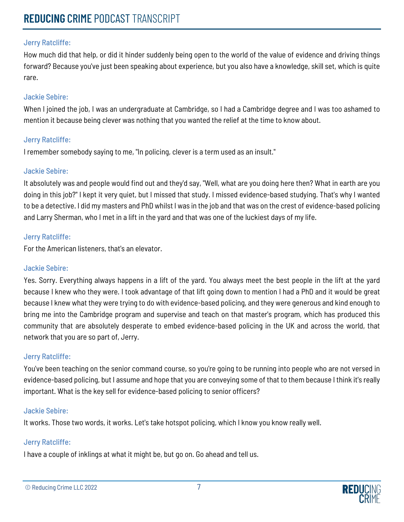How much did that help, or did it hinder suddenly being open to the world of the value of evidence and driving things forward? Because you've just been speaking about experience, but you also have a knowledge, skill set, which is quite rare.

#### Jackie Sebire:

When I joined the job, I was an undergraduate at Cambridge, so I had a Cambridge degree and I was too ashamed to mention it because being clever was nothing that you wanted the relief at the time to know about.

#### Jerry Ratcliffe:

I remember somebody saying to me, "In policing, clever is a term used as an insult."

#### Jackie Sebire:

It absolutely was and people would find out and they'd say, "Well, what are you doing here then? What in earth are you doing in this job?" I kept it very quiet, but I missed that study. I missed evidence-based studying. That's why I wanted to be a detective. I did my masters and PhD whilst I was in the job and that was on the crest of evidence-based policing and Larry Sherman, who I met in a lift in the yard and that was one of the luckiest days of my life.

#### Jerry Ratcliffe:

For the American listeners, that's an elevator.

#### Jackie Sebire:

Yes. Sorry. Everything always happens in a lift of the yard. You always meet the best people in the lift at the yard because I knew who they were. I took advantage of that lift going down to mention I had a PhD and it would be great because I knew what they were trying to do with evidence-based policing, and they were generous and kind enough to bring me into the Cambridge program and supervise and teach on that master's program, which has produced this community that are absolutely desperate to embed evidence-based policing in the UK and across the world, that network that you are so part of, Jerry.

#### Jerry Ratcliffe:

You've been teaching on the senior command course, so you're going to be running into people who are not versed in evidence-based policing, but I assume and hope that you are conveying some of that to them because I think it's really important. What is the key sell for evidence-based policing to senior officers?

#### Jackie Sebire:

It works. Those two words, it works. Let's take hotspot policing, which I know you know really well.

## Jerry Ratcliffe:

I have a couple of inklings at what it might be, but go on. Go ahead and tell us.

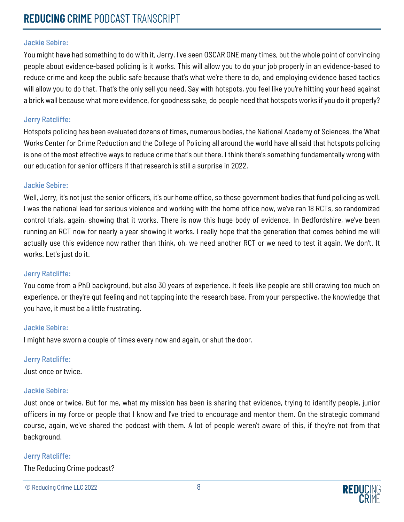You might have had something to do with it, Jerry. I've seen OSCAR ONE many times, but the whole point of convincing people about evidence-based policing is it works. This will allow you to do your job properly in an evidence-based to reduce crime and keep the public safe because that's what we're there to do, and employing evidence based tactics will allow you to do that. That's the only sell you need. Say with hotspots, you feel like you're hitting your head against a brick wall because what more evidence, for goodness sake, do people need that hotspots works if you do it properly?

#### Jerry Ratcliffe:

Hotspots policing has been evaluated dozens of times, numerous bodies, the National Academy of Sciences, the What Works Center for Crime Reduction and the College of Policing all around the world have all said that hotspots policing is one of the most effective ways to reduce crime that's out there. I think there's something fundamentally wrong with our education for senior officers if that research is still a surprise in 2022.

#### Jackie Sebire:

Well, Jerry, it's not just the senior officers, it's our home office, so those government bodies that fund policing as well. I was the national lead for serious violence and working with the home office now, we've ran 18 RCTs, so randomized control trials, again, showing that it works. There is now this huge body of evidence. In Bedfordshire, we've been running an RCT now for nearly a year showing it works. I really hope that the generation that comes behind me will actually use this evidence now rather than think, oh, we need another RCT or we need to test it again. We don't. It works. Let's just do it.

#### Jerry Ratcliffe:

You come from a PhD background, but also 30 years of experience. It feels like people are still drawing too much on experience, or they're gut feeling and not tapping into the research base. From your perspective, the knowledge that you have, it must be a little frustrating.

#### Jackie Sebire:

I might have sworn a couple of times every now and again, or shut the door.

#### Jerry Ratcliffe:

Just once or twice.

#### Jackie Sebire:

Just once or twice. But for me, what my mission has been is sharing that evidence, trying to identify people, junior officers in my force or people that I know and I've tried to encourage and mentor them. On the strategic command course, again, we've shared the podcast with them. A lot of people weren't aware of this, if they're not from that background.

#### Jerry Ratcliffe:

The Reducing Crime podcast?

```
© Reducing Crime LLC 2022 8
```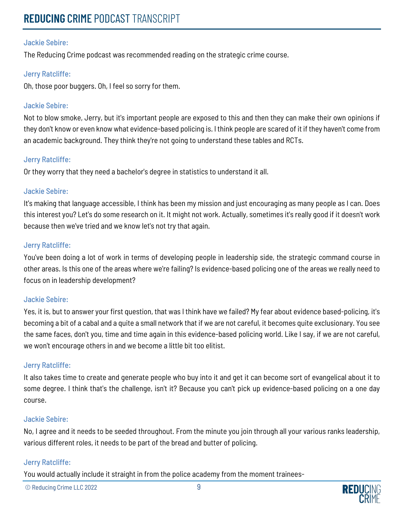The Reducing Crime podcast was recommended reading on the strategic crime course.

#### Jerry Ratcliffe:

Oh, those poor buggers. Oh, I feel so sorry for them.

#### Jackie Sebire:

Not to blow smoke, Jerry, but it's important people are exposed to this and then they can make their own opinions if they don't know or even know what evidence-based policing is. I think people are scared of it if they haven't come from an academic background. They think they're not going to understand these tables and RCTs.

#### Jerry Ratcliffe:

Or they worry that they need a bachelor's degree in statistics to understand it all.

#### Jackie Sebire:

It's making that language accessible, I think has been my mission and just encouraging as many people as I can. Does this interest you? Let's do some research on it. It might not work. Actually, sometimes it's really good if it doesn't work because then we've tried and we know let's not try that again.

#### Jerry Ratcliffe:

You've been doing a lot of work in terms of developing people in leadership side, the strategic command course in other areas. Is this one of the areas where we're failing? Is evidence-based policing one of the areas we really need to focus on in leadership development?

#### Jackie Sebire:

Yes, it is, but to answer your first question, that was I think have we failed? My fear about evidence based-policing, it's becoming a bit of a cabal and a quite a small network that if we are not careful, it becomes quite exclusionary. You see the same faces, don't you, time and time again in this evidence-based policing world. Like I say, if we are not careful, we won't encourage others in and we become a little bit too elitist.

#### Jerry Ratcliffe:

It also takes time to create and generate people who buy into it and get it can become sort of evangelical about it to some degree. I think that's the challenge, isn't it? Because you can't pick up evidence-based policing on a one day course.

#### Jackie Sebire:

No, I agree and it needs to be seeded throughout. From the minute you join through all your various ranks leadership, various different roles, it needs to be part of the bread and butter of policing.

#### Jerry Ratcliffe:

You would actually include it straight in from the police academy from the moment trainees-

© Reducing Crime LLC 2022 9

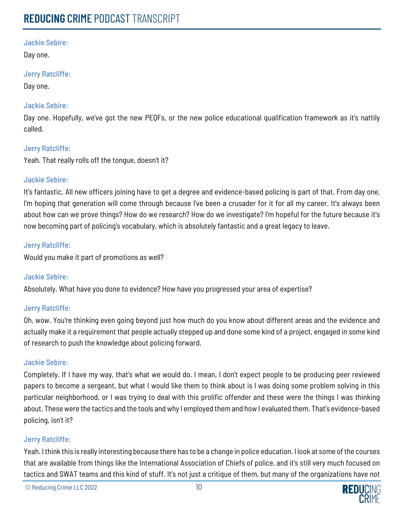Day one.

#### Jerry Ratcliffe:

Day one.

#### Jackie Sebire:

Day one. Hopefully, we've got the new PEQFs, or the new police educational qualification framework as it's nattily called.

#### Jerry Ratcliffe:

Yeah. That really rolls off the tongue, doesn't it?

#### Jackie Sebire:

It's fantastic. All new officers joining have to get a degree and evidence-based policing is part of that. From day one, I'm hoping that generation will come through because I've been a crusader for it for all my career. It's always been about how can we prove things? How do we research? How do we investigate? I'm hopeful for the future because it's now becoming part of policing's vocabulary, which is absolutely fantastic and a great legacy to leave.

#### Jerry Ratcliffe:

Would you make it part of promotions as well?

## Jackie Sebire:

Absolutely. What have you done to evidence? How have you progressed your area of expertise?

#### Jerry Ratcliffe:

Oh, wow. You're thinking even going beyond just how much do you know about different areas and the evidence and actually make it a requirement that people actually stepped up and done some kind of a project, engaged in some kind of research to push the knowledge about policing forward.

#### Jackie Sebire:

Completely. If I have my way, that's what we would do. I mean, I don't expect people to be producing peer reviewed papers to become a sergeant, but what I would like them to think about is I was doing some problem solving in this particular neighborhood, or I was trying to deal with this prolific offender and these were the things I was thinking about. These were the tactics and the tools and why I employed them and how I evaluated them. That's evidence-based policing, isn't it?

#### Jerry Ratcliffe:

Yeah. Ithink this is really interesting because there has to be a change in police education. I look at some of the courses that are available from things like the International Association of Chiefs of police, and it's still very much focused on tactics and SWAT teams and this kind of stuff. It's not just a critique of them, but many of the organizations have not

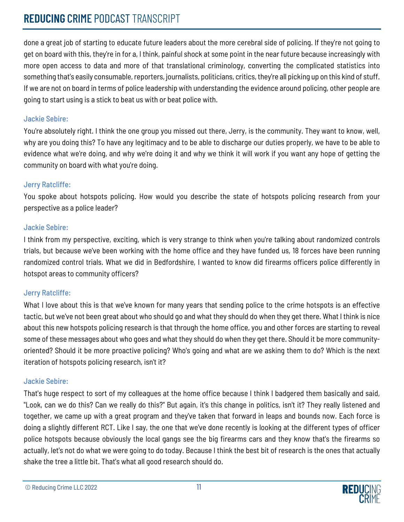## **REDUCING** CRIME PODCAST TRANSCRIPT

done a great job of starting to educate future leaders about the more cerebral side of policing. If they're not going to get on board with this, they're in for a, I think, painful shock at some point in the near future because increasingly with more open access to data and more of that translational criminology, converting the complicated statistics into something that's easily consumable, reporters, journalists, politicians, critics, they're all picking up on this kind of stuff. If we are not on board in terms of police leadership with understanding the evidence around policing, other people are going to start using is a stick to beat us with or beat police with.

## Jackie Sebire:

You're absolutely right. I think the one group you missed out there, Jerry, is the community. They want to know, well, why are you doing this? To have any legitimacy and to be able to discharge our duties properly, we have to be able to evidence what we're doing, and why we're doing it and why we think it will work if you want any hope of getting the community on board with what you're doing.

## Jerry Ratcliffe:

You spoke about hotspots policing. How would you describe the state of hotspots policing research from your perspective as a police leader?

## Jackie Sebire:

I think from my perspective, exciting, which is very strange to think when you're talking about randomized controls trials, but because we've been working with the home office and they have funded us, 18 forces have been running randomized control trials. What we did in Bedfordshire, I wanted to know did firearms officers police differently in hotspot areas to community officers?

## Jerry Ratcliffe:

What I love about this is that we've known for many years that sending police to the crime hotspots is an effective tactic, but we've not been great about who should go and what they should do when they get there. What I think is nice about this new hotspots policing research is that through the home office, you and other forces are starting to reveal some of these messages about who goes and what they should do when they get there. Should it be more communityoriented? Should it be more proactive policing? Who's going and what are we asking them to do? Which is the next iteration of hotspots policing research, isn't it?

## Jackie Sebire:

That's huge respect to sort of my colleagues at the home office because I think I badgered them basically and said, "Look, can we do this? Can we really do this?" But again, it's this change in politics, isn't it? They really listened and together, we came up with a great program and they've taken that forward in leaps and bounds now. Each force is doing a slightly different RCT. Like I say, the one that we've done recently is looking at the different types of officer police hotspots because obviously the local gangs see the big firearms cars and they know that's the firearms so actually, let's not do what we were going to do today. Because I think the best bit of research is the ones that actually shake the tree a little bit. That's what all good research should do.

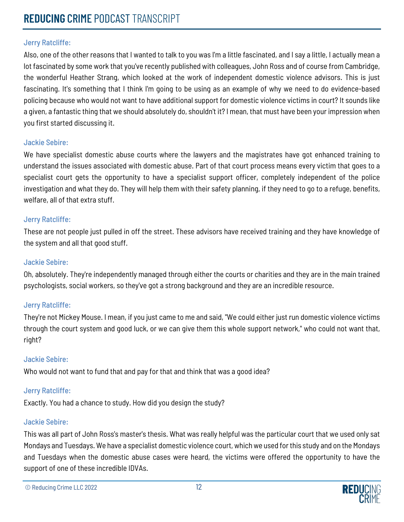Also, one of the other reasons that I wanted to talk to you was I'm a little fascinated, and I say a little, I actually mean a lot fascinated by some work that you've recently published with colleagues, John Ross and of course from Cambridge, the wonderful Heather Strang, which looked at the work of independent domestic violence advisors. This is just fascinating. It's something that I think I'm going to be using as an example of why we need to do evidence-based policing because who would not want to have additional support for domestic violence victims in court? It sounds like a given, a fantastic thing that we should absolutely do, shouldn't it? I mean, that must have been your impression when you first started discussing it.

#### Jackie Sebire:

We have specialist domestic abuse courts where the lawyers and the magistrates have got enhanced training to understand the issues associated with domestic abuse. Part of that court process means every victim that goes to a specialist court gets the opportunity to have a specialist support officer, completely independent of the police investigation and what they do. They will help them with their safety planning, if they need to go to a refuge, benefits, welfare, all of that extra stuff.

#### Jerry Ratcliffe:

These are not people just pulled in off the street. These advisors have received training and they have knowledge of the system and all that good stuff.

#### Jackie Sebire:

Oh, absolutely. They're independently managed through either the courts or charities and they are in the main trained psychologists, social workers, so they've got a strong background and they are an incredible resource.

#### Jerry Ratcliffe:

They're not Mickey Mouse. I mean, if you just came to me and said, "We could either just run domestic violence victims through the court system and good luck, or we can give them this whole support network," who could not want that, right?

#### Jackie Sebire:

Who would not want to fund that and pay for that and think that was a good idea?

#### Jerry Ratcliffe:

Exactly. You had a chance to study. How did you design the study?

#### Jackie Sebire:

This was all part of John Ross's master's thesis. What was really helpful was the particular court that we used only sat Mondays and Tuesdays. We have a specialist domestic violence court, which we used for this study and on the Mondays and Tuesdays when the domestic abuse cases were heard, the victims were offered the opportunity to have the support of one of these incredible IDVAs.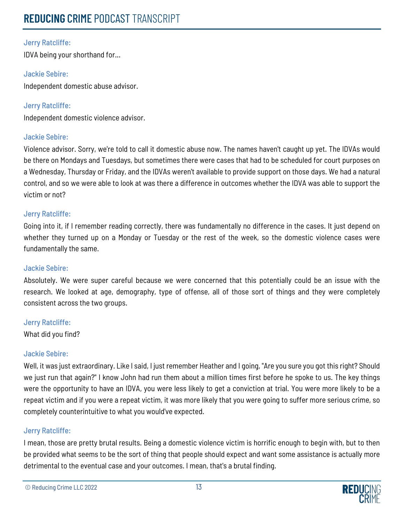IDVA being your shorthand for...

#### Jackie Sebire:

Independent domestic abuse advisor.

Jerry Ratcliffe: Independent domestic violence advisor.

#### Jackie Sebire:

Violence advisor. Sorry, we're told to call it domestic abuse now. The names haven't caught up yet. The IDVAs would be there on Mondays and Tuesdays, but sometimes there were cases that had to be scheduled for court purposes on a Wednesday, Thursday or Friday, and the IDVAs weren't available to provide support on those days. We had a natural control, and so we were able to look at was there a difference in outcomes whether the IDVA was able to support the victim or not?

#### Jerry Ratcliffe:

Going into it, if I remember reading correctly, there was fundamentally no difference in the cases. It just depend on whether they turned up on a Monday or Tuesday or the rest of the week, so the domestic violence cases were fundamentally the same.

#### Jackie Sebire:

Absolutely. We were super careful because we were concerned that this potentially could be an issue with the research. We looked at age, demography, type of offense, all of those sort of things and they were completely consistent across the two groups.

#### Jerry Ratcliffe:

What did you find?

#### Jackie Sebire:

Well, it was just extraordinary. Like I said, I just remember Heather and I going, "Are you sure you got this right? Should we just run that again?" I know John had run them about a million times first before he spoke to us. The key things were the opportunity to have an IDVA, you were less likely to get a conviction at trial. You were more likely to be a repeat victim and if you were a repeat victim, it was more likely that you were going to suffer more serious crime, so completely counterintuitive to what you would've expected.

#### Jerry Ratcliffe:

I mean, those are pretty brutal results. Being a domestic violence victim is horrific enough to begin with, but to then be provided what seems to be the sort of thing that people should expect and want some assistance is actually more detrimental to the eventual case and your outcomes. I mean, that's a brutal finding.

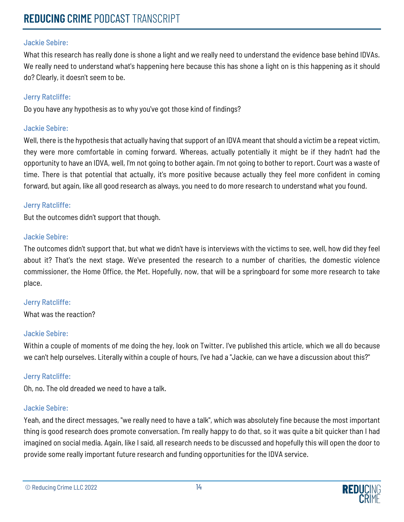What this research has really done is shone a light and we really need to understand the evidence base behind IDVAs. We really need to understand what's happening here because this has shone a light on is this happening as it should do? Clearly, it doesn't seem to be.

#### Jerry Ratcliffe:

Do you have any hypothesis as to why you've got those kind of findings?

#### Jackie Sebire:

Well, there is the hypothesis that actually having that support of an IDVA meant that should a victim be a repeat victim, they were more comfortable in coming forward. Whereas, actually potentially it might be if they hadn't had the opportunity to have an IDVA, well, I'm not going to bother again. I'm not going to bother to report. Court was a waste of time. There is that potential that actually, it's more positive because actually they feel more confident in coming forward, but again, like all good research as always, you need to do more research to understand what you found.

#### Jerry Ratcliffe:

But the outcomes didn't support that though.

#### Jackie Sebire:

The outcomes didn't support that, but what we didn't have is interviews with the victims to see, well, how did they feel about it? That's the next stage. We've presented the research to a number of charities, the domestic violence commissioner, the Home Office, the Met. Hopefully, now, that will be a springboard for some more research to take place.

## Jerry Ratcliffe:

What was the reaction?

#### Jackie Sebire:

Within a couple of moments of me doing the hey, look on Twitter. I've published this article, which we all do because we can't help ourselves. Literally within a couple of hours, I've had a "Jackie, can we have a discussion about this?"

#### Jerry Ratcliffe:

Oh, no. The old dreaded we need to have a talk.

#### Jackie Sebire:

Yeah, and the direct messages, "we really need to have a talk", which was absolutely fine because the most important thing is good research does promote conversation. I'm really happy to do that, so it was quite a bit quicker than I had imagined on social media. Again, like I said, all research needs to be discussed and hopefully this will open the door to provide some really important future research and funding opportunities for the IDVA service.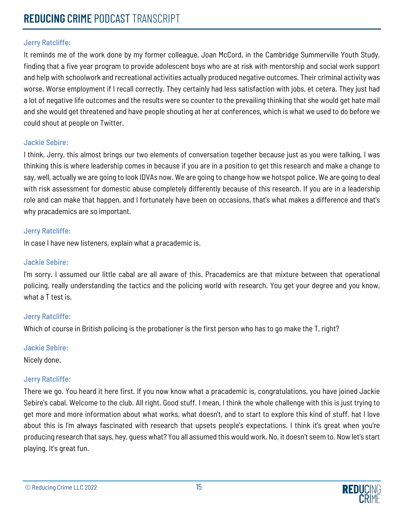It reminds me of the work done by my former colleague, Joan McCord, in the Cambridge Summerville Youth Study, finding that a five year program to provide adolescent boys who are at risk with mentorship and social work support and help with schoolwork and recreational activities actually produced negative outcomes. Their criminal activity was worse. Worse employment if I recall correctly. They certainly had less satisfaction with jobs, et cetera. They just had a lot of negative life outcomes and the results were so counter to the prevailing thinking that she would get hate mail and she would get threatened and have people shouting at her at conferences, which is what we used to do before we could shout at people on Twitter.

#### Jackie Sebire:

I think, Jerry, this almost brings our two elements of conversation together because just as you were talking, I was thinking this is where leadership comes in because if you are in a position to get this research and make a change to say, well, actually we are going to look IDVAs now. We are going to change how we hotspot police. We are going to deal with risk assessment for domestic abuse completely differently because of this research. If you are in a leadership role and can make that happen, and I fortunately have been on occasions, that's what makes a difference and that's why pracademics are so important.

#### Jerry Ratcliffe:

In case I have new listeners, explain what a pracademic is.

#### Jackie Sebire:

I'm sorry. I assumed our little cabal are all aware of this. Pracademics are that mixture between that operational policing, really understanding the tactics and the policing world with research. You get your degree and you know, what a T test is.

#### Jerry Ratcliffe:

Which of course in British policing is the probationer is the first person who has to go make the T, right?

#### Jackie Sebire:

Nicely done.

#### Jerry Ratcliffe:

There we go. You heard it here first. If you now know what a pracademic is, congratulations, you have joined Jackie Sebire's cabal. Welcome to the club. All right. Good stuff. I mean, I think the whole challenge with this is just trying to get more and more information about what works, what doesn't, and to start to explore this kind of stuff. hat I love about this is I'm always fascinated with research that upsets people's expectations. I think it's great when you're producing research that says, hey, guess what? You all assumed this would work. No, it doesn't seem to. Now let's start playing. It's great fun.

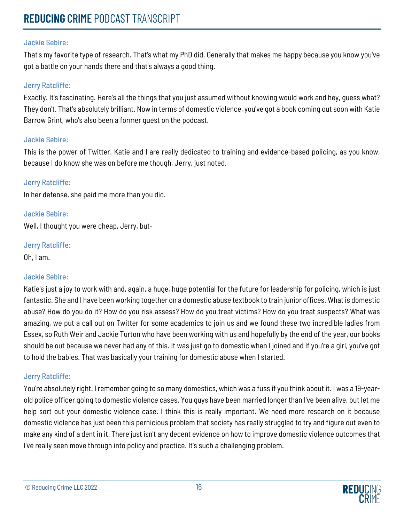# **REDUCING** CRIME PODCAST TRANSCRIPT

#### Jackie Sebire:

That's my favorite type of research. That's what my PhD did. Generally that makes me happy because you know you've got a battle on your hands there and that's always a good thing.

#### Jerry Ratcliffe:

Exactly. It's fascinating. Here's all the things that you just assumed without knowing would work and hey, guess what? They don't. That's absolutely brilliant. Now in terms of domestic violence, you've got a book coming out soon with Katie Barrow Grint, who's also been a former guest on the podcast.

#### Jackie Sebire:

This is the power of Twitter. Katie and I are really dedicated to training and evidence-based policing, as you know, because I do know she was on before me though, Jerry, just noted.

#### Jerry Ratcliffe:

In her defense, she paid me more than you did.

Jackie Sebire:

Well, I thought you were cheap, Jerry, but-

#### Jerry Ratcliffe:

Oh, I am.

## Jackie Sebire:

Katie's just a joy to work with and, again, a huge, huge potential for the future for leadership for policing, which is just fantastic. She and I have been working together on a domestic abuse textbook to train junior offices. What is domestic abuse? How do you do it? How do you risk assess? How do you treat victims? How do you treat suspects? What was amazing, we put a call out on Twitter for some academics to join us and we found these two incredible ladies from Essex, so Ruth Weir and Jackie Turton who have been working with us and hopefully by the end of the year, our books should be out because we never had any of this. It was just go to domestic when I joined and if you're a girl, you've got to hold the babies. That was basically your training for domestic abuse when I started.

## Jerry Ratcliffe:

You're absolutely right. I remember going to so many domestics, which was a fuss if you think about it. I was a 19-yearold police officer going to domestic violence cases. You guys have been married longer than I've been alive, but let me help sort out your domestic violence case. I think this is really important. We need more research on it because domestic violence has just been this pernicious problem that society has really struggled to try and figure out even to make any kind of a dent in it. There just isn't any decent evidence on how to improve domestic violence outcomes that I've really seen move through into policy and practice. It's such a challenging problem.

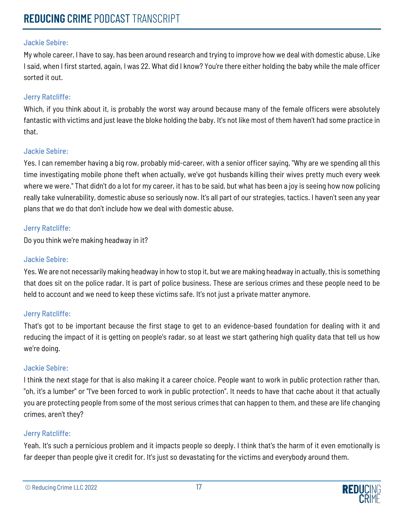My whole career, I have to say, has been around research and trying to improve how we deal with domestic abuse. Like I said, when I first started, again, I was 22. What did I know? You're there either holding the baby while the male officer sorted it out.

## Jerry Ratcliffe:

Which, if you think about it, is probably the worst way around because many of the female officers were absolutely fantastic with victims and just leave the bloke holding the baby. It's not like most of them haven't had some practice in that.

#### Jackie Sebire:

Yes. I can remember having a big row, probably mid-career, with a senior officer saying, "Why are we spending all this time investigating mobile phone theft when actually, we've got husbands killing their wives pretty much every week where we were." That didn't do a lot for my career, it has to be said, but what has been a joy is seeing how now policing really take vulnerability, domestic abuse so seriously now. It's all part of our strategies, tactics. I haven't seen any year plans that we do that don't include how we deal with domestic abuse.

## Jerry Ratcliffe:

Do you think we're making headway in it?

#### Jackie Sebire:

Yes. We are not necessarily making headway in how to stop it, but we are making headway in actually, this is something that does sit on the police radar. It is part of police business. These are serious crimes and these people need to be held to account and we need to keep these victims safe. It's not just a private matter anymore.

## Jerry Ratcliffe:

That's got to be important because the first stage to get to an evidence-based foundation for dealing with it and reducing the impact of it is getting on people's radar, so at least we start gathering high quality data that tell us how we're doing.

## Jackie Sebire:

I think the next stage for that is also making it a career choice. People want to work in public protection rather than, "oh, it's a lumber" or "I've been forced to work in public protection". It needs to have that cache about it that actually you are protecting people from some of the most serious crimes that can happen to them, and these are life changing crimes, aren't they?

## Jerry Ratcliffe:

Yeah. It's such a pernicious problem and it impacts people so deeply. I think that's the harm of it even emotionally is far deeper than people give it credit for. It's just so devastating for the victims and everybody around them.